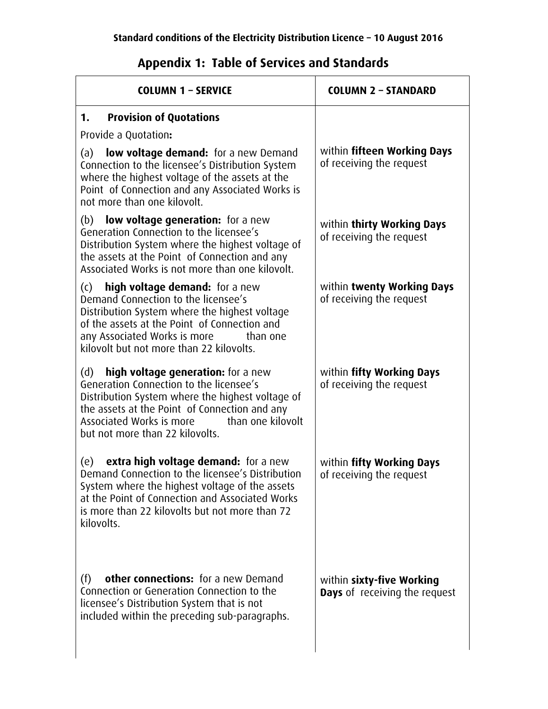## **Appendix 1: Table of Services and Standards**

| <b>COLUMN 1 - SERVICE</b>                                                                                                                                                                                                                                                     | <b>COLUMN 2 - STANDARD</b>                                 |
|-------------------------------------------------------------------------------------------------------------------------------------------------------------------------------------------------------------------------------------------------------------------------------|------------------------------------------------------------|
| <b>Provision of Quotations</b><br>1.                                                                                                                                                                                                                                          |                                                            |
| Provide a Quotation:                                                                                                                                                                                                                                                          |                                                            |
| low voltage demand: for a new Demand<br>(a)<br>Connection to the licensee's Distribution System<br>where the highest voltage of the assets at the<br>Point of Connection and any Associated Works is<br>not more than one kilovolt.                                           | within fifteen Working Days<br>of receiving the request    |
| (b) low voltage generation: for a new<br>Generation Connection to the licensee's<br>Distribution System where the highest voltage of<br>the assets at the Point of Connection and any<br>Associated Works is not more than one kilovolt.                                      | within thirty Working Days<br>of receiving the request     |
| high voltage demand: for a new<br>(c)<br>Demand Connection to the licensee's<br>Distribution System where the highest voltage<br>of the assets at the Point of Connection and<br>any Associated Works is more than one<br>kilovolt but not more than 22 kilovolts.            | within twenty Working Days<br>of receiving the request     |
| high voltage generation: for a new<br>(d)<br>Generation Connection to the licensee's<br>Distribution System where the highest voltage of<br>the assets at the Point of Connection and any<br>Associated Works is more<br>than one kilovolt<br>but not more than 22 kilovolts. | within fifty Working Days<br>of receiving the request      |
| extra high voltage demand: for a new<br>(e)<br>Demand Connection to the licensee's Distribution<br>System where the highest voltage of the assets<br>at the Point of Connection and Associated Works<br>is more than 22 kilovolts but not more than 72<br>kilovolts.          | within fifty Working Days<br>of receiving the request      |
| other connections: for a new Demand<br>(f)<br>Connection or Generation Connection to the<br>licensee's Distribution System that is not<br>included within the preceding sub-paragraphs.                                                                                       | within sixty-five Working<br>Days of receiving the request |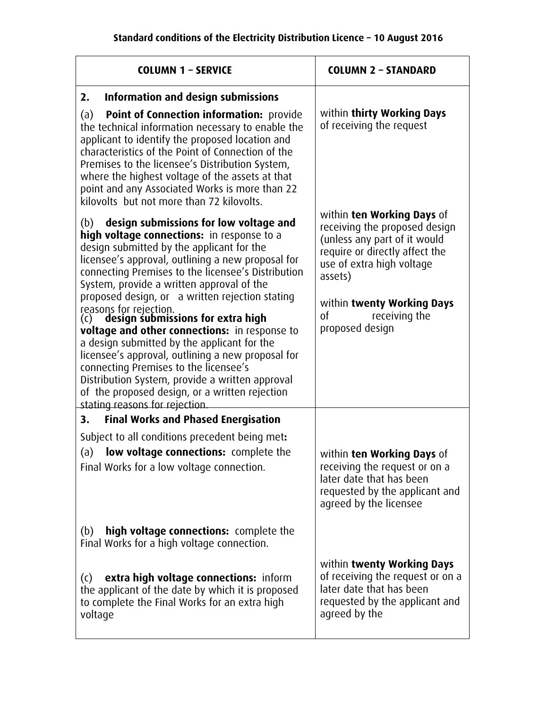| <b>COLUMN 1 - SERVICE</b>                                                                                                                                                                                                                                                                                                                                                                                                                                                                                                                                                                                                                                                                                                                                   | <b>COLUMN 2 - STANDARD</b>                                                                                                                                                                                                                    |
|-------------------------------------------------------------------------------------------------------------------------------------------------------------------------------------------------------------------------------------------------------------------------------------------------------------------------------------------------------------------------------------------------------------------------------------------------------------------------------------------------------------------------------------------------------------------------------------------------------------------------------------------------------------------------------------------------------------------------------------------------------------|-----------------------------------------------------------------------------------------------------------------------------------------------------------------------------------------------------------------------------------------------|
| Information and design submissions<br>2.<br>Point of Connection information: provide<br>(a)<br>the technical information necessary to enable the<br>applicant to identify the proposed location and<br>characteristics of the Point of Connection of the<br>Premises to the licensee's Distribution System,<br>where the highest voltage of the assets at that<br>point and any Associated Works is more than 22<br>kilovolts but not more than 72 kilovolts.                                                                                                                                                                                                                                                                                               | within thirty Working Days<br>of receiving the request                                                                                                                                                                                        |
| design submissions for low voltage and<br>(b)<br>high voltage connections: in response to a<br>design submitted by the applicant for the<br>licensee's approval, outlining a new proposal for<br>connecting Premises to the licensee's Distribution<br>System, provide a written approval of the<br>proposed design, or a written rejection stating<br>reasons for rejection.<br>(c) design submissions for extra high<br>voltage and other connections: in response to<br>a design submitted by the applicant for the<br>licensee's approval, outlining a new proposal for<br>connecting Premises to the licensee's<br>Distribution System, provide a written approval<br>of the proposed design, or a written rejection<br>stating reasons for rejection. | within ten Working Days of<br>receiving the proposed design<br>(unless any part of it would<br>require or directly affect the<br>use of extra high voltage<br>assets)<br>within twenty Working Days<br>receiving the<br>0f<br>proposed design |
| <b>Final Works and Phased Energisation</b><br>3.                                                                                                                                                                                                                                                                                                                                                                                                                                                                                                                                                                                                                                                                                                            |                                                                                                                                                                                                                                               |
| Subject to all conditions precedent being met:<br>low voltage connections: complete the<br>(a)<br>Final Works for a low voltage connection.                                                                                                                                                                                                                                                                                                                                                                                                                                                                                                                                                                                                                 | within ten Working Days of<br>receiving the request or on a<br>later date that has been<br>requested by the applicant and<br>agreed by the licensee                                                                                           |
| high voltage connections: complete the<br>(b)<br>Final Works for a high voltage connection.                                                                                                                                                                                                                                                                                                                                                                                                                                                                                                                                                                                                                                                                 |                                                                                                                                                                                                                                               |
| extra high voltage connections: inform<br>(C)<br>the applicant of the date by which it is proposed<br>to complete the Final Works for an extra high<br>voltage                                                                                                                                                                                                                                                                                                                                                                                                                                                                                                                                                                                              | within twenty Working Days<br>of receiving the request or on a<br>later date that has been<br>requested by the applicant and<br>agreed by the                                                                                                 |